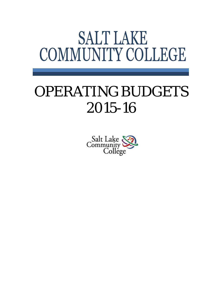# **SALT LAKE** COMMUNITY COLLEGE

# OPERATING BUDGETS 2015-16

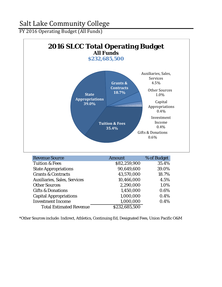FY 2016 Operating Budget (All Funds)



| Tuition & Fees                      | \$82,259,900  | 35.4% |
|-------------------------------------|---------------|-------|
| <b>State Appropriations</b>         | 90.649.600    | 39.0% |
| <b>Grants &amp; Contracts</b>       | 43,570,000    | 18.7% |
| <b>Auxiliaries, Sales, Services</b> | 10,466,000    | 4.5%  |
| <b>Other Sources</b>                | 2,290,000     | 1.0%  |
| <b>Gifts &amp; Donations</b>        | 1,450,000     | 0.6%  |
| <b>Capital Appropriations</b>       | 1,000,000     | 0.4%  |
| <b>Investment Income</b>            | 1,000,000     | 0.4%  |
| <b>Total Estimated Revenue</b>      | \$232,685,500 |       |

\*Other Sources include: Indirect, Athletics, Continuing Ed, Designated Fees, Union Pacific O&M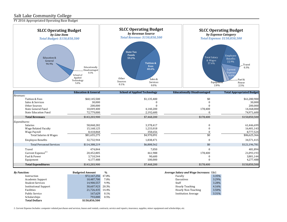FY 2016 Appropriated Operating Base Budget



|                                             | <b>Education &amp; General</b>   | <b>School of Applied Technology</b> | <b>Educationally Disadvantaged</b>     | <b>Total Appropriated Budget</b> |
|---------------------------------------------|----------------------------------|-------------------------------------|----------------------------------------|----------------------------------|
| Revenues:                                   |                                  |                                     |                                        |                                  |
| Tuition & Fees                              | \$60,145,500                     | \$1,135,400                         | \$0                                    | \$61,280,900                     |
| Sales & Services                            | 30,000                           |                                     |                                        | 30,000                           |
| Other Sources                               | 200,000                          |                                     |                                        | 200,000                          |
| State General Fund                          | 10,049,400                       | 4,140,200                           | 178,400                                | 14,368,000                       |
| <b>State Education Fund</b>                 | 72,779,000                       | 2,192,600                           |                                        | 74,971,600                       |
| <b>Total Revenues</b>                       | \$143,203,900                    | \$7,468,200                         | \$178,400                              | \$150,850,500                    |
| Expenditures:                               |                                  |                                     |                                        |                                  |
| Salaries                                    | 58,068,282                       | 3,378,417                           |                                        | 61,446,699                       |
| <b>Wage Related Faculty</b>                 | 15,168,125                       | 1,233,018                           |                                        | 16,401,143                       |
| Wage Payroll                                | 8,418,868                        | 358,656                             |                                        | 8,777,524                        |
| Total Salaries & Wages                      | \$81,655,275                     | \$4,970,091                         | \$0                                    | \$86,625,366                     |
| <b>Employee Benefits</b>                    | 32,732,944                       | 1,838,471                           |                                        | 34,571,415                       |
| <b>Total Personnel Services</b>             | \$114,388,219                    | \$6,808,562                         | \$0                                    | \$121,196,781                    |
| Travel                                      | 474,844                          | 7,050                               |                                        | 481,894                          |
| Current Expense <sup>(1)</sup>              | 20,452,805                       | 461,988                             | 178,400                                | 21,093,193                       |
| Fuel & Power                                | 3,710,544                        | 90,600                              |                                        | 3,801,144                        |
| Equipment                                   | 4,177,488                        | 100,000                             |                                        | 4,277,488                        |
| <b>Total Expenditures</b>                   | \$143,203,900                    | \$7,468,200                         | \$178,400                              | \$150,850,500                    |
| $D_{11}$ , $D_{21}$ , $A_{12}$ , $A_{23}$ , | Dudgeted America<br>$\mathbf{a}$ |                                     | Average Calami and Wage Insurance. EQC |                                  |

| <b>By Function:</b>          | <b>Budgeted Amount</b> | $\frac{0}{0}$ | <i>Average Salary and Wage Increases:</i> E&G |       |
|------------------------------|------------------------|---------------|-----------------------------------------------|-------|
| Instruction                  | \$72,167,256 47.8%     |               | Faculty                                       | 3.35% |
| Academic Support             | 10,487,700             | 7.0%          | Executives                                    | 3.29% |
| <b>Student Services</b>      | 14.900.557             | 9.9%          | Staff                                         | 3.28% |
| <b>Institutional Support</b> | 30,607,923 20.3%       |               | <b>Hourly Teaching</b>                        | 4.16% |
| Facilities                   | 21,726,435 14.4%       |               | Hourly Non-Teaching                           | 3.50% |
| Public Service               | 167,629                | $0.1\%$       | <b>Institution Average</b>                    | 3.31% |
| Scholarships                 | 793.000                | $0.5\%$       |                                               |       |
| <b>Total Dollars</b>         | \$150,850,500          |               |                                               |       |

| Faculty                    | 3.35% |
|----------------------------|-------|
| Executives                 | 3.29% |
| Staff                      | 3.28% |
| <b>Hourly Teaching</b>     | 4.16% |
| Hourly Non-Teaching        | 3.50% |
| <b>Institution Average</b> | 3.31% |

*1. Current Expense Includes: computer-related purchases and services, leases and rentals, contracts, service and repairs, insurance, supplies, minor equipment and scholarships, etc.*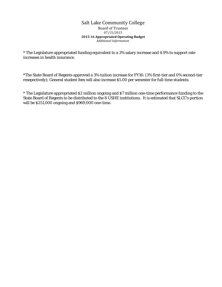### Salt Lake Community College Board of Trustees 07/15/2015 **2015-16 Appropriated Operating Budget** *Additional Information*

\* The Legislature appropriated funding equivalent to a 3% salary increase and 4.9% to support rate increases in health insurance.

\*The State Board of Regents approved a 3% tuition increase for FY16: (3% first-tier and 0% second-tier resepectively); General student fees will also increase \$5.00 per semester for full-time students.

\* The Legislature appropriated \$2 million ongoing and \$7 million one-time performance funding to the State Board of Regents to be distributed to the 8 USHE institutions. It is estimated that SLCC's portion will be \$251,000 ongoing and \$969,000 one-time.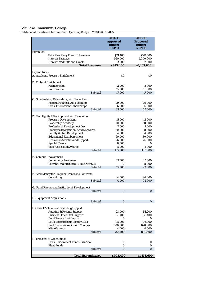**2014-15 Approved Budget 8/13/14 2015-16 Proposed Budget 7/22/15** *Revenues:* Prior Year Carry Forward Revenues  $$71,400$  \$161,600<br>Interest Earnings 020.000 \$1.000.000 Interest Earnings 920,000 1,000,000 Unrestricted Gifts and Grants 2,000 2,000<br>
Total Revenues 3993,400 51,163,600  $Total$  **Revenues** *Expenditures:* A. Academic Program Enrichment  $\sim$  80  $\sim$  80  $\sim$  80 B. Cultural Enrichment Memberships 2,000 2,000 2,000<br>Convocation 15.000 15.000 15.000 Convocation 15,000 15,000 Subtotal 17,000 17,000 C. Scholarships, Fellowships, and Student Aid Federal Financial Aid Matching 29,000 29,000 Quasi Endowment Scholarships 6,000 6,000 35,000 D. Faculty/Staff Development and Recognition Program Development 15,000 15,000<br>
Leadership Academy 10,000 10,000 10,000 Leadership Academy 10,000 10,000 10,000 10,000 10,000 10,000 10,000 10,000 10,000 10,000 10,000 10,000 10,000 1 Professional Development Day 7,000 7,000<br>
Employee Recognition/Service Awards 30,000 38,000 Employee Recognition/Service Awards 30,000 38,000<br>Faculty & Staff Development 4,000 4,000 Faculty & Staff Development 4,000 4,000<br>
Educational Reimbursement 60,000 40,000 Educational Reimbursement 60,000 80,000<br>Divisional Activities and Support 26,000 26,000 26,000 Divisional Activities and Support 26,000<br>Special Events 26,000 Special Events **8,000** 0<br>Staff Association Awards **8,000** 5,000 5,000 Staff Association Awards 5,000 5,000 5,000<br>Subtotal 165,000 185,000 185,000 165,000 E. Campus Development Community Awareness<br>
Software Maintenance - TouchNet/SCT<br>
0 15,000<br>
8.000 Software Maintenance - TouchNet/SCT 0 8,000<br>Subtotal 15,000 23,000 Subtotal F. Seed Money for Program Grants and Contracts Consulting 2,000 94,000<br>Subtotal 4,000 94,000 94,000 Subtotal G. Fund Raising and Institutional Development Subtotal 0 0 H. Equipment Acquisitions Subtotal 0 0 I. Other E&G Current Operating Support Auditing & Regents Support 23,000 54,200 Business Office Staff Support 35,400 36,400 Food Service Chef Support 0 0 LHM Entrepreneur Center O&M 95,000 95,000 Bank Service/Credit Card Charges 600,000 620,000 Miscellaneous 4,000 4,000 4,000 4,000 4,000 5,000 4,000 4,000 5,000 4,000 5,000 4,000 5,000 4,000 5,000 4,000 5,000 5,000 5,000 5,000 5,000 5,000 5,000 5,000 5,000 5,000 5,000 5,000 5,000 5,000 5,000 5,000 5,000 5,000 5,00 757,400 809,600 J. Transfers to Other Funds Quasi-Endowment Funds-Principal 0 0 Plant Funds 0 0 Subtotal

**Total Expenditures \$993,400 \$1,163,600**

*Institutional Investment Income Fund Operating Budget FY 2016 & FY 2015*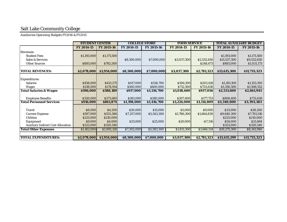*Auxiliaries Operating Budgets FY2016 & FY2015*

|                                           | <b>STUDENT CENTER</b> |             | <b>COLLEGE STORE</b> |             | <b>FOOD SERVICE</b> |             | <b>TOTAL AUXILIARY BUDGET</b> |              |
|-------------------------------------------|-----------------------|-------------|----------------------|-------------|---------------------|-------------|-------------------------------|--------------|
|                                           | FY 2014-15            | FY 2015-16  | FY 2014-15           | FY 2015-16  | FY 2014-15          | FY 2015-16  | FY 2014-15                    | FY 2015-16   |
| Revenues:                                 |                       |             |                      |             |                     |             |                               |              |
| <b>Student Fees</b>                       | \$1,193,000           | \$1,171,500 |                      |             |                     |             | \$1,193,000                   | \$1,171,500  |
| <b>Sales &amp; Services</b>               |                       |             | \$8,500,000          | \$7,000,000 | \$3,037,300         | \$2,532,650 | \$11,537,300                  | \$9,532,650  |
| <b>Other Sources</b>                      | \$885,000             | \$782,500   |                      |             |                     | \$248,673   | \$885,000                     | \$1,031,173  |
| <b>TOTAL REVENUES:</b>                    |                       |             |                      |             |                     |             |                               |              |
|                                           | \$2,078,000           | \$1,954,000 | \$8,500,000          | \$7,000,000 | \$3,037,300         | \$2,781,323 | \$13,615,300                  | \$11,735,323 |
| <b>Expenditures:</b>                      |                       |             |                      |             |                     |             |                               |              |
| <b>Salaries</b>                           | \$458,000             | \$413,275   | \$417,000            | \$536,700   | \$306,100           | \$203,418   | \$1,181,100                   | \$1,153,393  |
| <b>Wages</b>                              | \$138,000             | \$174,914   | \$500,000            | \$600,000   | \$712,500           | \$733,638   | \$1,350,500                   | \$1,508,552  |
| <b>Total Salaries &amp; Wages</b>         | \$596,000             | \$588,189   | \$917,000            | \$1,136,700 | \$1,018,600         | \$937,056   | \$2,531,600                   | \$2,661,945  |
|                                           |                       |             |                      |             |                     |             |                               |              |
| <b>Employee Benefits</b>                  | \$320,000             | \$273,685   | \$281,000            | \$280,000   | \$207,400           | \$177,753   | \$808,400                     | \$731,438    |
| <b>Total Personnel Services</b>           | \$916,000             | \$861,874   | \$1,198,000          | \$1,416,700 | \$1,226,000         | \$1,114,809 | \$3,340,000                   | \$3,393,383  |
|                                           |                       |             |                      |             |                     |             |                               |              |
| <b>Travel</b>                             | \$8,000               | \$4,200     | \$20,000             | \$15,000    | \$5,000             | \$9,000     | \$33,000                      | \$28,200     |
| <b>Current Expense</b>                    | \$597,000             | \$553,386   | \$7,257,000          | \$5,543,300 | \$1,786,300         | \$1,664,830 | \$9,640,300                   | \$7,761,516  |
| <b>Utilities</b>                          | \$225,000             | \$210,000   |                      |             |                     |             | \$225,000                     | \$210,000    |
| Equipment                                 | \$9,000               | \$4,000     | \$25,000             | \$25,000    | \$20,000            | $- $7,316$  | \$54,000                      | \$21,684     |
| <b>Auxiliary Indirect Cost Allocation</b> | \$323,000             | \$320,540   |                      |             |                     |             | \$323,000                     | \$320,540    |
| <b>Total Other Expenses</b>               | \$1,162,000           | \$1,092,126 | \$7,302,000          | \$5,583,300 | \$1,811,300         | \$1,666,514 | \$10,275,300                  | \$8,341,940  |
|                                           |                       |             |                      |             |                     |             |                               |              |
| <b>TOTAL EXPENDITURES:</b>                | \$2,078,000           | \$1,954,000 | \$8,500,000          | \$7,000,000 | \$3,037,300         | \$2,781,323 | \$13,615,299                  | \$11,735,323 |